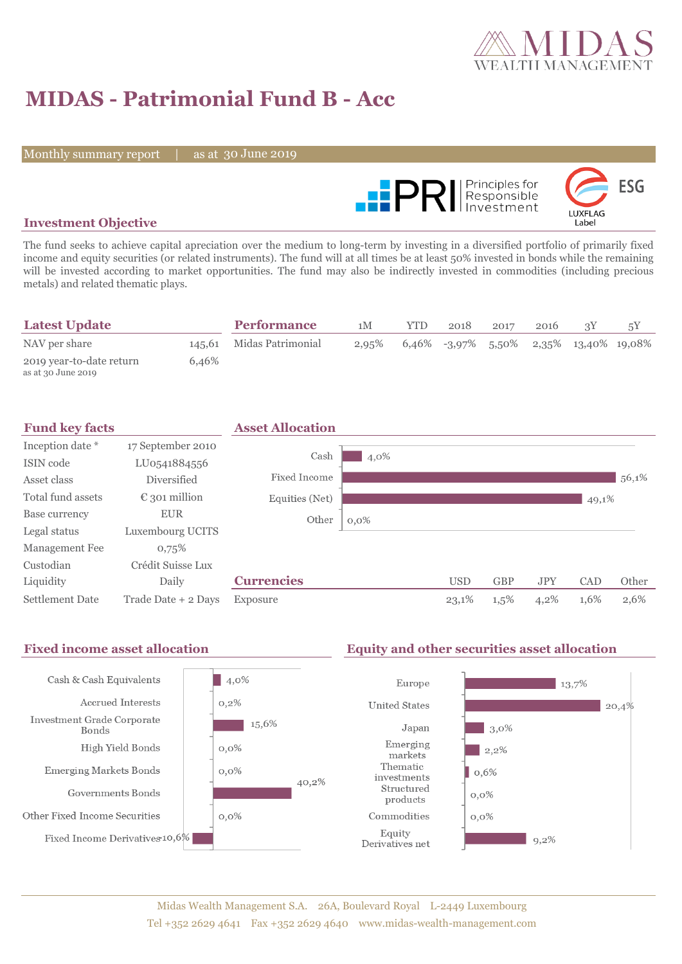

# **MIDAS - Patrimonial Fund B - Acc**

Monthly summary report

30 June 2019



## **Investment Objective**

The fund seeks to achieve capital apreciation over the medium to long-term by investing in a diversified portfolio of primarily fixed income and equity securities (or related instruments). The fund will at all times be at least 50% invested in bonds while the remaining will be invested according to market opportunities. The fund may also be indirectly invested in commodities (including precious metals) and related thematic plays.

| <b>Latest Update</b>                           |       | <b>Performance</b>       | 1M       | YTD | 2018 | 2017 | 2016 |                                           |  |
|------------------------------------------------|-------|--------------------------|----------|-----|------|------|------|-------------------------------------------|--|
| NAV per share                                  |       | 145.61 Midas Patrimonial | $2.95\%$ |     |      |      |      | $6,46\%$ -3,97% 5,50% 2,35% 13,40% 19,08% |  |
| 2019 year-to-date return<br>as at 30 June 2019 | 6.46% |                          |          |     |      |      |      |                                           |  |



#### Fixed income asset allocation **Equity and other securities asset allocation**  $|4,0\%$ Cash & Cash Equivalents Europe  $13,7%$ Accrued Interests  $0,2\%$ **United States** 20,4% Investment Grade Corporate 15,6%  $\frac{1}{3}$ ,0% Japan Bonds Emerging High Yield Bonds  $0,0\%$  $\frac{1}{2,2\%}$ markets Thematic Emerging Markets Bonds  $0,0\%$  $0,6%$ investments 40,2% Structured Governments Bonds  $0,0\%$ products Other Fixed Income Securities  $0,0\%$ Commodities  $0,0\%$ Equity Fixed Income Derivatives 10,6%  $9,2\%$ Derivatives net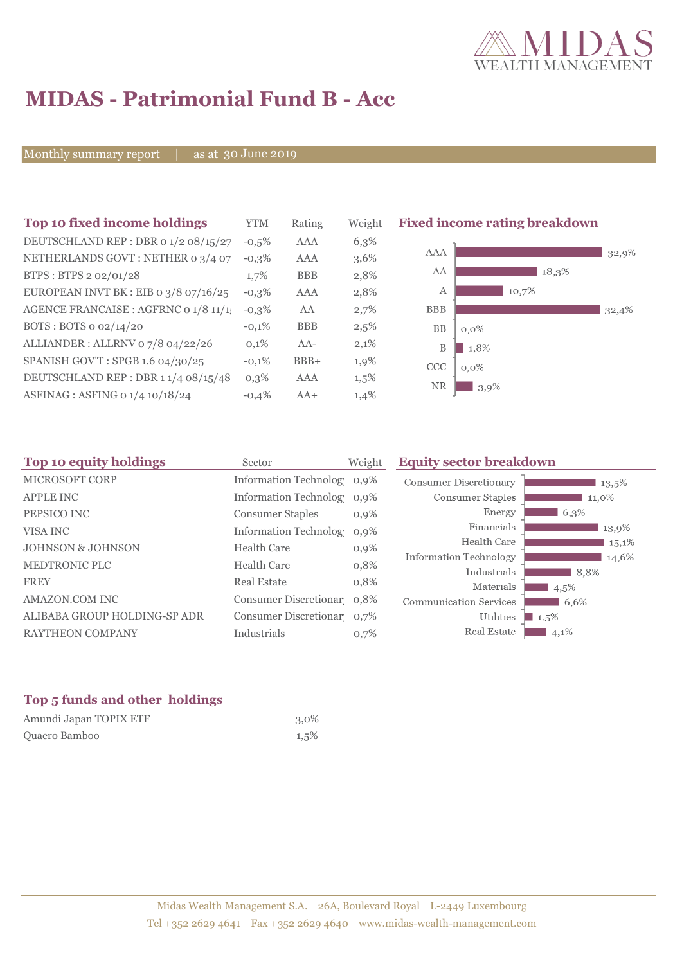

# **MIDAS - Patrimonial Fund B - Acc**

Monthly summary report

30 June 2019

| Top 10 fixed income holdings          | <b>YTM</b> | Rating     | Weigh |
|---------------------------------------|------------|------------|-------|
| DEUTSCHLAND REP : DBR 0 1/2 08/15/27  | $-0.5%$    | <b>AAA</b> | 6,3%  |
| NETHERLANDS GOVT: NETHER 0 3/4 07     | $-0.3%$    | AAA        | 3,6%  |
| BTPS: BTPS 2 02/01/28                 | 1,7%       | <b>BBB</b> | 2,8%  |
| EUROPEAN INVT BK : EIB o 3/8 07/16/25 | $-0.3%$    | AAA        | 2,8%  |
| AGENCE FRANCAISE : AGFRNC 0 1/8 11/1! | $-0,3%$    | AA         | 2,7%  |
| BOTS: BOTS 0 02/14/20                 | $-0.1%$    | <b>BBB</b> | 2,5%  |
| ALLIANDER: ALLRNV 07/8 04/22/26       | 0,1%       | $AA-$      | 2,1%  |
| SPANISH GOV'T: SPGB 1.6 04/30/25      | $-0,1%$    | $BBB+$     | 1,9%  |
| DEUTSCHLAND REP: DBR 11/4 08/15/48    | $0.3\%$    | AAA        | 1,5%  |
| ASFINAG : ASFING 0 1/4 10/18/24       | $-0.4%$    | $AA+$      | 1,4%  |

**Fixed income rating breakdown** 



| Top 10 equity holdings<br>Sector |                                                                | <b>Equity sector breakdown</b>                                                                                                                                                            |             |
|----------------------------------|----------------------------------------------------------------|-------------------------------------------------------------------------------------------------------------------------------------------------------------------------------------------|-------------|
|                                  |                                                                | <b>Consumer Discretionary</b>                                                                                                                                                             | $13.5\%$    |
|                                  |                                                                | Consumer Staples                                                                                                                                                                          | 11,0%       |
| <b>Consumer Staples</b>          | $0,9\%$                                                        | Energy                                                                                                                                                                                    | 6,3%        |
|                                  | $0,9\%$                                                        | Financials                                                                                                                                                                                | 13,9%       |
|                                  |                                                                | Health Care                                                                                                                                                                               | $15,1\%$    |
|                                  |                                                                | <b>Information Technology</b>                                                                                                                                                             | 14,6%       |
|                                  |                                                                |                                                                                                                                                                                           | 8.8%        |
|                                  |                                                                | Materials                                                                                                                                                                                 | 4,5%        |
|                                  |                                                                | <b>Communication Services</b>                                                                                                                                                             | 6,6%        |
|                                  |                                                                | Utilities                                                                                                                                                                                 | 1,5%        |
| Industrials                      | 0.7%                                                           | Real Estate                                                                                                                                                                               | $4,1\%$     |
|                                  | <b>Health Care</b><br><b>Health Care</b><br><b>Real Estate</b> | Weight<br>Information Technolog 0,9%<br>Information Technolog 0,9%<br><b>Information Technolog</b><br>$0,9\%$<br>0,8%<br>0,8%<br>Consumer Discretionar 0,8%<br>Consumer Discretionar 0,7% | Industrials |

# **Top 5 funds and other holdings**

| Amundi Japan TOPIX ETF | $3,0\%$ |
|------------------------|---------|
| Quaero Bamboo          | 1,5%    |